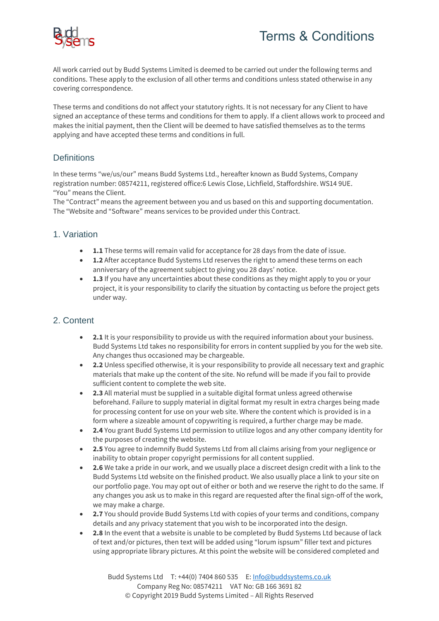

All work carried out by Budd Systems Limited is deemed to be carried out under the following terms and conditions. These apply to the exclusion of all other terms and conditions unless stated otherwise in any covering correspondence.

These terms and conditions do not affect your statutory rights. It is not necessary for any Client to have signed an acceptance of these terms and conditions for them to apply. If a client allows work to proceed and makes the initial payment, then the Client will be deemed to have satisfied themselves as to the terms applying and have accepted these terms and conditions in full.

# **Definitions**

In these terms "we/us/our" means Budd Systems Ltd., hereafter known as Budd Systems, Company registration number: 08574211, registered office:6 Lewis Close, Lichfield, Staffordshire. WS14 9UE. "You" means the Client.

The "Contract" means the agreement between you and us based on this and supporting documentation. The "Website and "Software" means services to be provided under this Contract.

### 1. Variation

- 1.1 These terms will remain valid for acceptance for 28 days from the date of issue.
- **1.2** After acceptance Budd Systems Ltd reserves the right to amend these terms on each anniversary of the agreement subject to giving you 28 days' notice.
- **1.3** If you have any uncertainties about these conditions as they might apply to you or your project, it is your responsibility to clarify the situation by contacting us before the project gets under way.

### 2. Content

- **2.1** It is your responsibility to provide us with the required information about your business. Budd Systems Ltd takes no responsibility for errors in content supplied by you for the web site. Any changes thus occasioned may be chargeable.
- **2.2** Unless specified otherwise, it is your responsibility to provide all necessary text and graphic materials that make up the content of the site. No refund will be made if you fail to provide sufficient content to complete the web site.
- **2.3** All material must be supplied in a suitable digital format unless agreed otherwise beforehand. Failure to supply material in digital format my result in extra charges being made for processing content for use on your web site. Where the content which is provided is in a form where a sizeable amount of copywriting is required, a further charge may be made.
- **2.4** You grant Budd Systems Ltd permission to utilize logos and any other company identity for the purposes of creating the website.
- **2.5** You agree to indemnify Budd Systems Ltd from all claims arising from your negligence or inability to obtain proper copyright permissions for all content supplied.
- **2.6** We take a pride in our work, and we usually place a discreet design credit with a link to the Budd Systems Ltd website on the finished product. We also usually place a link to your site on our portfolio page. You may opt out of either or both and we reserve the right to do the same. If any changes you ask us to make in this regard are requested after the final sign-off of the work, we may make a charge.
- **2.7** You should provide Budd Systems Ltd with copies of your terms and conditions, company details and any privacy statement that you wish to be incorporated into the design.
- **2.8** In the event that a website is unable to be completed by Budd Systems Ltd because of lack of text and/or pictures, then text will be added using "lorum ispsum" filler text and pictures using appropriate library pictures. At this point the website will be considered completed and

Budd Systems Ltd T: +44(0) 7404 860 535 E: [Info@buddsystems.co.uk](mailto:Info@buddsystems.co.uk) Company Reg No: 08574211 VAT No: GB 166 3691 82 © Copyright 2019 Budd Systems Limited – All Rights Reserved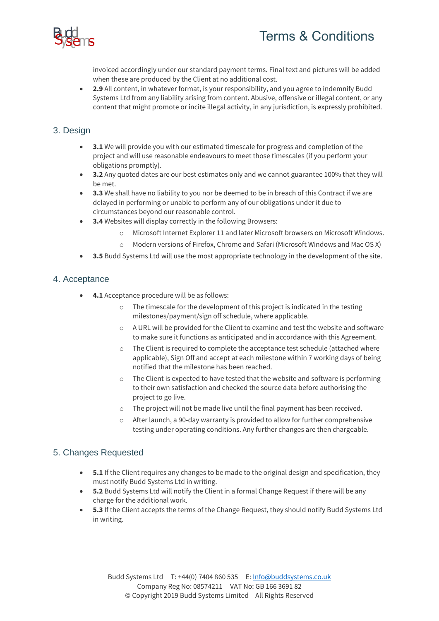

invoiced accordingly under our standard payment terms. Final text and pictures will be added when these are produced by the Client at no additional cost.

• **2.9** All content, in whatever format, is your responsibility, and you agree to indemnify Budd Systems Ltd from any liability arising from content. Abusive, offensive or illegal content, or any content that might promote or incite illegal activity, in any jurisdiction, is expressly prohibited.

## 3. Design

- **3.1** We will provide you with our estimated timescale for progress and completion of the project and will use reasonable endeavours to meet those timescales (if you perform your obligations promptly).
- **3.2** Any quoted dates are our best estimates only and we cannot guarantee 100% that they will be met.
- **3.3** We shall have no liability to you nor be deemed to be in breach of this Contract if we are delayed in performing or unable to perform any of our obligations under it due to circumstances beyond our reasonable control.
- **3.4** Websites will display correctly in the following Browsers:
	- o Microsoft Internet Explorer 11 and later Microsoft browsers on Microsoft Windows.
	- o Modern versions of Firefox, Chrome and Safari (Microsoft Windows and Mac OS X)
- **3.5** Budd Systems Ltd will use the most appropriate technology in the development of the site.

### 4. Acceptance

- **4.1** Acceptance procedure will be as follows:
	- o The timescale for the development of this project is indicated in the testing milestones/payment/sign off schedule, where applicable.
	- $\circ$  A URL will be provided for the Client to examine and test the website and software to make sure it functions as anticipated and in accordance with this Agreement.
	- o The Client is required to complete the acceptance test schedule (attached where applicable), Sign Off and accept at each milestone within 7 working days of being notified that the milestone has been reached.
	- $\circ$  The Client is expected to have tested that the website and software is performing to their own satisfaction and checked the source data before authorising the project to go live.
	- o The project will not be made live until the final payment has been received.
	- $\circ$  After launch, a 90-day warranty is provided to allow for further comprehensive testing under operating conditions. Any further changes are then chargeable.

### 5. Changes Requested

- **5.1** If the Client requires any changes to be made to the original design and specification, they must notify Budd Systems Ltd in writing.
- **5.2** Budd Systems Ltd will notify the Client in a formal Change Request if there will be any charge for the additional work.
- **5.3** If the Client accepts the terms of the Change Request, they should notify Budd Systems Ltd in writing.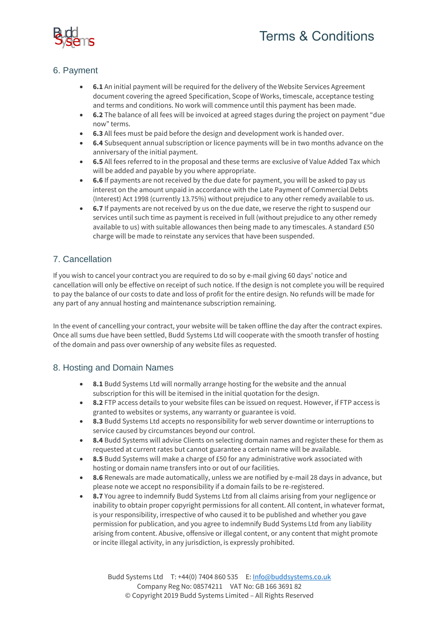

# 6. Payment

- **6.1** An initial payment will be required for the delivery of the Website Services Agreement document covering the agreed Specification, Scope of Works, timescale, acceptance testing and terms and conditions. No work will commence until this payment has been made.
- **6.2** The balance of all fees will be invoiced at agreed stages during the project on payment "due now" terms.
- **6.3** All fees must be paid before the design and development work is handed over.
- **6.4** Subsequent annual subscription or licence payments will be in two months advance on the anniversary of the initial payment.
- **6.5** All fees referred to in the proposal and these terms are exclusive of Value Added Tax which will be added and payable by you where appropriate.
- **6.6** If payments are not received by the due date for payment, you will be asked to pay us interest on the amount unpaid in accordance with the Late Payment of Commercial Debts (Interest) Act 1998 (currently 13.75%) without prejudice to any other remedy available to us.
- **6.7** If payments are not received by us on the due date, we reserve the right to suspend our services until such time as payment is received in full (without prejudice to any other remedy available to us) with suitable allowances then being made to any timescales. A standard £50 charge will be made to reinstate any services that have been suspended.

# 7. Cancellation

If you wish to cancel your contract you are required to do so by e-mail giving 60 days' notice and cancellation will only be effective on receipt of such notice. If the design is not complete you will be required to pay the balance of our costs to date and loss of profit for the entire design. No refunds will be made for any part of any annual hosting and maintenance subscription remaining.

In the event of cancelling your contract, your website will be taken offline the day after the contract expires. Once all sums due have been settled, Budd Systems Ltd will cooperate with the smooth transfer of hosting of the domain and pass over ownership of any website files as requested.

# 8. Hosting and Domain Names

- 8.1 Budd Systems Ltd will normally arrange hosting for the website and the annual subscription for this will be itemised in the initial quotation for the design.
- **8.2** FTP access details to your website files can be issued on request. However, if FTP access is granted to websites or systems, any warranty or guarantee is void.
- **8.3** Budd Systems Ltd accepts no responsibility for web server downtime or interruptions to service caused by circumstances beyond our control.
- **8.4** Budd Systems will advise Clients on selecting domain names and register these for them as requested at current rates but cannot guarantee a certain name will be available.
- **8.5** Budd Systems will make a charge of £50 for any administrative work associated with hosting or domain name transfers into or out of our facilities.
- **8.6** Renewals are made automatically, unless we are notified by e-mail 28 days in advance, but please note we accept no responsibility if a domain fails to be re-registered.
- **8.7** You agree to indemnify Budd Systems Ltd from all claims arising from your negligence or inability to obtain proper copyright permissions for all content. All content, in whatever format, is your responsibility, irrespective of who caused it to be published and whether you gave permission for publication, and you agree to indemnify Budd Systems Ltd from any liability arising from content. Abusive, offensive or illegal content, or any content that might promote or incite illegal activity, in any jurisdiction, is expressly prohibited.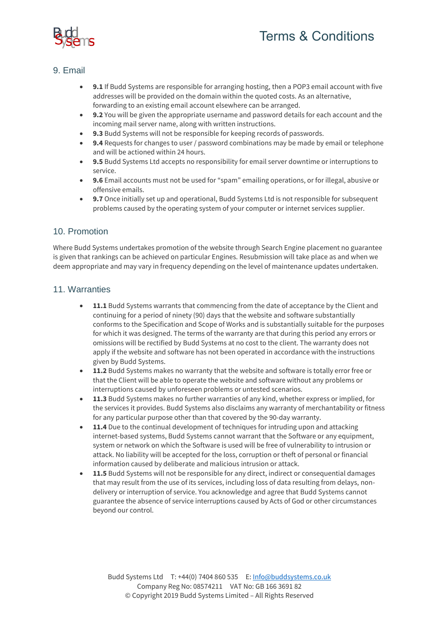

# 9. Email

- **9.1** If Budd Systems are responsible for arranging hosting, then a POP3 email account with five addresses will be provided on the domain within the quoted costs. As an alternative, forwarding to an existing email account elsewhere can be arranged.
- **9.2** You will be given the appropriate username and password details for each account and the incoming mail server name, along with written instructions.
- **9.3** Budd Systems will not be responsible for keeping records of passwords.
- **9.4** Requests for changes to user / password combinations may be made by email or telephone and will be actioned within 24 hours.
- **9.5** Budd Systems Ltd accepts no responsibility for email server downtime or interruptions to service.
- **9.6** Email accounts must not be used for "spam" emailing operations, or for illegal, abusive or offensive emails.
- **9.7** Once initially set up and operational, Budd Systems Ltd is not responsible for subsequent problems caused by the operating system of your computer or internet services supplier.

### 10. Promotion

Where Budd Systems undertakes promotion of the website through Search Engine placement no guarantee is given that rankings can be achieved on particular Engines. Resubmission will take place as and when we deem appropriate and may vary in frequency depending on the level of maintenance updates undertaken.

#### 11. Warranties

- **11.1** Budd Systems warrants that commencing from the date of acceptance by the Client and continuing for a period of ninety (90) days that the website and software substantially conforms to the Specification and Scope of Works and is substantially suitable for the purposes for which it was designed. The terms of the warranty are that during this period any errors or omissions will be rectified by Budd Systems at no cost to the client. The warranty does not apply if the website and software has not been operated in accordance with the instructions given by Budd Systems.
- **11.2** Budd Systems makes no warranty that the website and software is totally error free or that the Client will be able to operate the website and software without any problems or interruptions caused by unforeseen problems or untested scenarios.
- **11.3** Budd Systems makes no further warranties of any kind, whether express or implied, for the services it provides. Budd Systems also disclaims any warranty of merchantability or fitness for any particular purpose other than that covered by the 90-day warranty.
- **11.4** Due to the continual development of techniques for intruding upon and attacking internet-based systems, Budd Systems cannot warrant that the Software or any equipment, system or network on which the Software is used will be free of vulnerability to intrusion or attack. No liability will be accepted for the loss, corruption or theft of personal or financial information caused by deliberate and malicious intrusion or attack.
- **11.5** Budd Systems will not be responsible for any direct, indirect or consequential damages that may result from the use of its services, including loss of data resulting from delays, nondelivery or interruption of service. You acknowledge and agree that Budd Systems cannot guarantee the absence of service interruptions caused by Acts of God or other circumstances beyond our control.